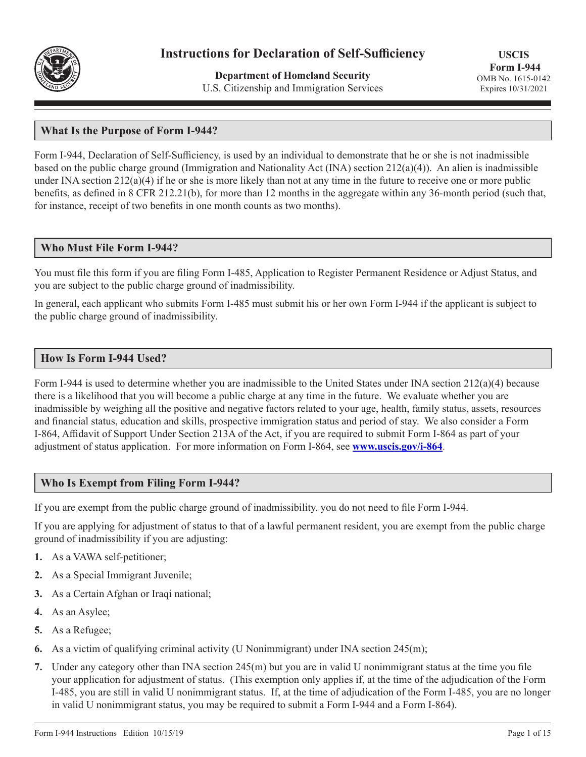

# **Instructions for Declaration of Self-Sufficiency**

**Department of Homeland Security** U.S. Citizenship and Immigration Services

**USCIS Form I-944** OMB No. 1615-0142 Expires 10/31/2021

## **What Is the Purpose of Form I-944?**

Form I-944, Declaration of Self-Sufficiency, is used by an individual to demonstrate that he or she is not inadmissible based on the public charge ground (Immigration and Nationality Act (INA) section 212(a)(4)). An alien is inadmissible under INA section  $212(a)(4)$  if he or she is more likely than not at any time in the future to receive one or more public benefits, as defined in 8 CFR 212.21(b), for more than 12 months in the aggregate within any 36-month period (such that, for instance, receipt of two benefits in one month counts as two months).

## **Who Must File Form I-944?**

You must file this form if you are filing Form I-485, Application to Register Permanent Residence or Adjust Status, and you are subject to the public charge ground of inadmissibility.

In general, each applicant who submits Form I-485 must submit his or her own Form I-944 if the applicant is subject to the public charge ground of inadmissibility.

#### **How Is Form I-944 Used?**

Form I-944 is used to determine whether you are inadmissible to the United States under INA section 212(a)(4) because there is a likelihood that you will become a public charge at any time in the future. We evaluate whether you are inadmissible by weighing all the positive and negative factors related to your age, health, family status, assets, resources and financial status, education and skills, prospective immigration status and period of stay. We also consider a Form I-864, Affidavit of Support Under Section 213A of the Act, if you are required to submit Form I-864 as part of your adjustment of status application. For more information on Form I-864, see **[www.uscis.gov/i-864](http://www.uscis.gov/i-864)**.

## **Who Is Exempt from Filing Form I-944?**

If you are exempt from the public charge ground of inadmissibility, you do not need to file Form I-944.

If you are applying for adjustment of status to that of a lawful permanent resident, you are exempt from the public charge ground of inadmissibility if you are adjusting:

- **1.** As a VAWA self-petitioner;
- **2.** As a Special Immigrant Juvenile;
- **3.** As a Certain Afghan or Iraqi national;
- **4.** As an Asylee;
- **5.** As a Refugee;
- **6.** As a victim of qualifying criminal activity (U Nonimmigrant) under INA section 245(m);
- **7.** Under any category other than INA section 245(m) but you are in valid U nonimmigrant status at the time you file your application for adjustment of status. (This exemption only applies if, at the time of the adjudication of the Form I-485, you are still in valid U nonimmigrant status. If, at the time of adjudication of the Form I-485, you are no longer in valid U nonimmigrant status, you may be required to submit a Form I-944 and a Form I-864).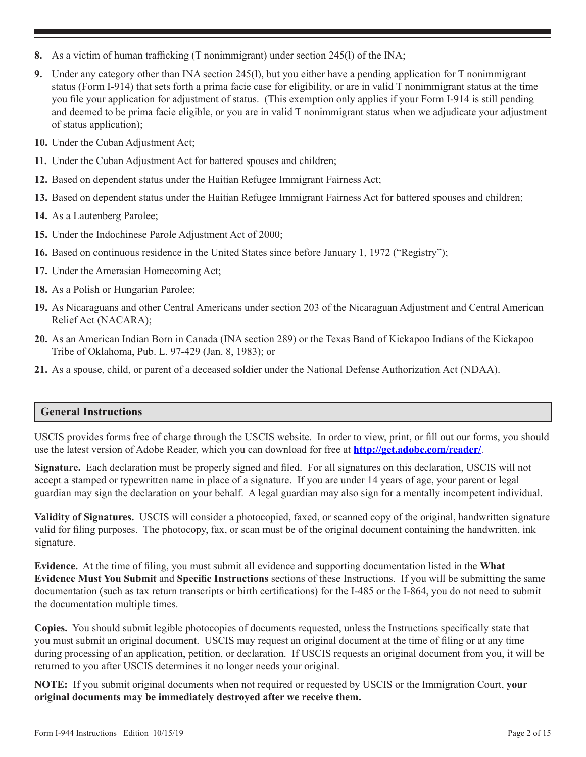- **8.** As a victim of human trafficking (T nonimmigrant) under section 245(l) of the INA;
- **9.** Under any category other than INA section 245(l), but you either have a pending application for T nonimmigrant status (Form I-914) that sets forth a prima facie case for eligibility, or are in valid T nonimmigrant status at the time you file your application for adjustment of status. (This exemption only applies if your Form I-914 is still pending and deemed to be prima facie eligible, or you are in valid T nonimmigrant status when we adjudicate your adjustment of status application);
- **10.** Under the Cuban Adjustment Act;
- **11.** Under the Cuban Adjustment Act for battered spouses and children;
- **12.** Based on dependent status under the Haitian Refugee Immigrant Fairness Act;
- **13.** Based on dependent status under the Haitian Refugee Immigrant Fairness Act for battered spouses and children;
- **14.** As a Lautenberg Parolee;
- **15.** Under the Indochinese Parole Adjustment Act of 2000;
- **16.** Based on continuous residence in the United States since before January 1, 1972 ("Registry");
- **17.** Under the Amerasian Homecoming Act;
- **18.** As a Polish or Hungarian Parolee;
- **19.** As Nicaraguans and other Central Americans under section 203 of the Nicaraguan Adjustment and Central American Relief Act (NACARA);
- **20.** As an American Indian Born in Canada (INA section 289) or the Texas Band of Kickapoo Indians of the Kickapoo Tribe of Oklahoma, Pub. L. 97-429 (Jan. 8, 1983); or
- **21.** As a spouse, child, or parent of a deceased soldier under the National Defense Authorization Act (NDAA).

# **General Instructions**

USCIS provides forms free of charge through the USCIS website. In order to view, print, or fill out our forms, you should use the latest version of Adobe Reader, which you can download for free at **http://get.adobe.com/reader/**.

**Signature.** Each declaration must be properly signed and filed. For all signatures on this declaration, USCIS will not accept a stamped or typewritten name in place of a signature. If you are under 14 years of age, your parent or legal guardian may sign the declaration on your behalf. A legal guardian may also sign for a mentally incompetent individual.

**Validity of Signatures.** USCIS will consider a photocopied, faxed, or scanned copy of the original, handwritten signature valid for filing purposes. The photocopy, fax, or scan must be of the original document containing the handwritten, ink signature.

**Evidence.** At the time of filing, you must submit all evidence and supporting documentation listed in the **What Evidence Must You Submit** and **Specific Instructions** sections of these Instructions. If you will be submitting the same documentation (such as tax return transcripts or birth certifications) for the I-485 or the I-864, you do not need to submit the documentation multiple times.

**Copies.** You should submit legible photocopies of documents requested, unless the Instructions specifically state that you must submit an original document. USCIS may request an original document at the time of filing or at any time during processing of an application, petition, or declaration. If USCIS requests an original document from you, it will be returned to you after USCIS determines it no longer needs your original.

**NOTE:** If you submit original documents when not required or requested by USCIS or the Immigration Court, **your original documents may be immediately destroyed after we receive them.**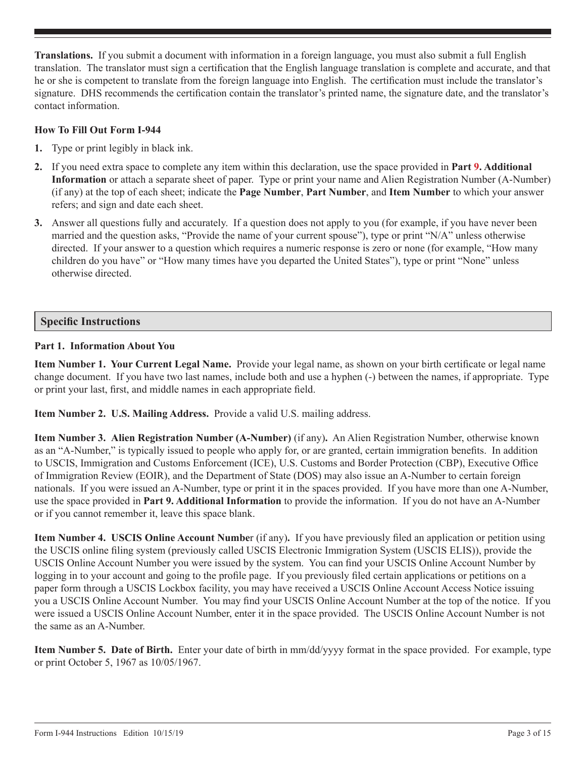**Translations.** If you submit a document with information in a foreign language, you must also submit a full English translation. The translator must sign a certification that the English language translation is complete and accurate, and that he or she is competent to translate from the foreign language into English. The certification must include the translator's signature. DHS recommends the certification contain the translator's printed name, the signature date, and the translator's contact information.

## **How To Fill Out Form I-944**

- **1.** Type or print legibly in black ink.
- **2.** If you need extra space to complete any item within this declaration, use the space provided in **Part 9. Additional Information** or attach a separate sheet of paper. Type or print your name and Alien Registration Number (A-Number) (if any) at the top of each sheet; indicate the **Page Number**, **Part Number**, and **Item Number** to which your answer refers; and sign and date each sheet.
- **3.** Answer all questions fully and accurately. If a question does not apply to you (for example, if you have never been married and the question asks, "Provide the name of your current spouse"), type or print "N/A" unless otherwise directed. If your answer to a question which requires a numeric response is zero or none (for example, "How many children do you have" or "How many times have you departed the United States"), type or print "None" unless otherwise directed.

## **Specific Instructions**

#### **Part 1. Information About You**

**Item Number 1. Your Current Legal Name.** Provide your legal name, as shown on your birth certificate or legal name change document. If you have two last names, include both and use a hyphen (-) between the names, if appropriate. Type or print your last, first, and middle names in each appropriate field.

**Item Number 2. U.S. Mailing Address.** Provide a valid U.S. mailing address.

**Item Number 3. Alien Registration Number (A-Number)** (if any)**.** An Alien Registration Number, otherwise known as an "A-Number," is typically issued to people who apply for, or are granted, certain immigration benefits. In addition to USCIS, Immigration and Customs Enforcement (ICE), U.S. Customs and Border Protection (CBP), Executive Office of Immigration Review (EOIR), and the Department of State (DOS) may also issue an A-Number to certain foreign nationals. If you were issued an A-Number, type or print it in the spaces provided. If you have more than one A-Number, use the space provided in **Part 9. Additional Information** to provide the information. If you do not have an A-Number or if you cannot remember it, leave this space blank.

**Item Number 4. USCIS Online Account Numbe**r (if any)**.** If you have previously filed an application or petition using the USCIS online filing system (previously called USCIS Electronic Immigration System (USCIS ELIS)), provide the USCIS Online Account Number you were issued by the system. You can find your USCIS Online Account Number by logging in to your account and going to the profile page. If you previously filed certain applications or petitions on a paper form through a USCIS Lockbox facility, you may have received a USCIS Online Account Access Notice issuing you a USCIS Online Account Number. You may find your USCIS Online Account Number at the top of the notice. If you were issued a USCIS Online Account Number, enter it in the space provided. The USCIS Online Account Number is not the same as an A-Number.

**Item Number 5. Date of Birth.** Enter your date of birth in mm/dd/yyyy format in the space provided. For example, type or print October 5, 1967 as 10/05/1967.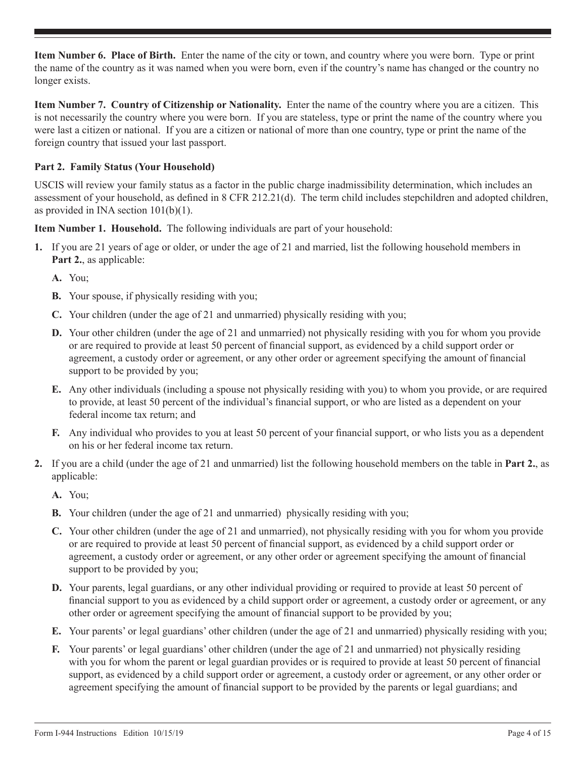**Item Number 6. Place of Birth.** Enter the name of the city or town, and country where you were born. Type or print the name of the country as it was named when you were born, even if the country's name has changed or the country no longer exists.

**Item Number 7. Country of Citizenship or Nationality.** Enter the name of the country where you are a citizen. This is not necessarily the country where you were born. If you are stateless, type or print the name of the country where you were last a citizen or national. If you are a citizen or national of more than one country, type or print the name of the foreign country that issued your last passport.

# **Part 2. Family Status (Your Household)**

USCIS will review your family status as a factor in the public charge inadmissibility determination, which includes an assessment of your household, as defined in 8 CFR 212.21(d). The term child includes stepchildren and adopted children, as provided in INA section 101(b)(1).

**Item Number 1. Household.** The following individuals are part of your household:

- **1.** If you are 21 years of age or older, or under the age of 21 and married, list the following household members in **Part 2.**, as applicable:
	- **A.** You;
	- **B.** Your spouse, if physically residing with you;
	- **C.** Your children (under the age of 21 and unmarried) physically residing with you;
	- **D.** Your other children (under the age of 21 and unmarried) not physically residing with you for whom you provide or are required to provide at least 50 percent of financial support, as evidenced by a child support order or agreement, a custody order or agreement, or any other order or agreement specifying the amount of financial support to be provided by you;
	- **E.** Any other individuals (including a spouse not physically residing with you) to whom you provide, or are required to provide, at least 50 percent of the individual's financial support, or who are listed as a dependent on your federal income tax return; and
	- **F.** Any individual who provides to you at least 50 percent of your financial support, or who lists you as a dependent on his or her federal income tax return.
- **2.** If you are a child (under the age of 21 and unmarried) list the following household members on the table in **Part 2.**, as applicable:
	- **A.** You;
	- **B.** Your children (under the age of 21 and unmarried) physically residing with you;
	- **C.** Your other children (under the age of 21 and unmarried), not physically residing with you for whom you provide or are required to provide at least 50 percent of financial support, as evidenced by a child support order or agreement, a custody order or agreement, or any other order or agreement specifying the amount of financial support to be provided by you;
	- **D.** Your parents, legal guardians, or any other individual providing or required to provide at least 50 percent of financial support to you as evidenced by a child support order or agreement, a custody order or agreement, or any other order or agreement specifying the amount of financial support to be provided by you;
	- **E.** Your parents' or legal guardians' other children (under the age of 21 and unmarried) physically residing with you;
	- **F.** Your parents' or legal guardians' other children (under the age of 21 and unmarried) not physically residing with you for whom the parent or legal guardian provides or is required to provide at least 50 percent of financial support, as evidenced by a child support order or agreement, a custody order or agreement, or any other order or agreement specifying the amount of financial support to be provided by the parents or legal guardians; and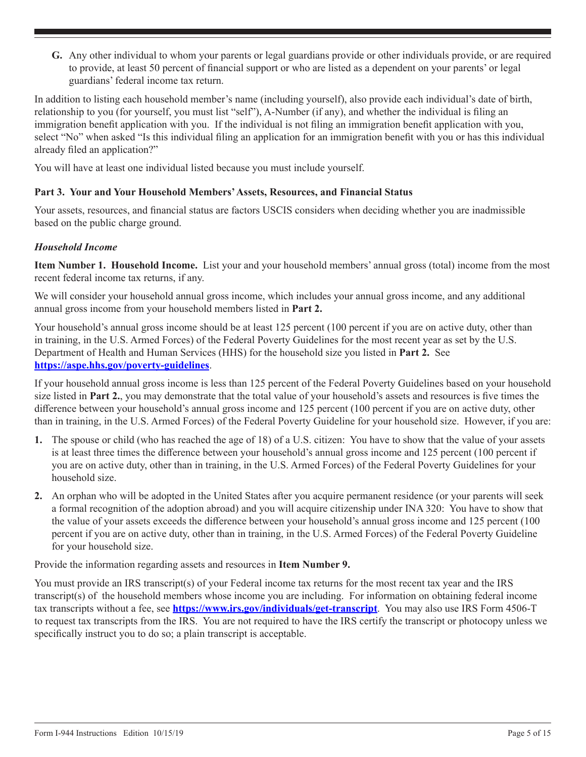**G.** Any other individual to whom your parents or legal guardians provide or other individuals provide, or are required to provide, at least 50 percent of financial support or who are listed as a dependent on your parents' or legal guardians' federal income tax return.

In addition to listing each household member's name (including yourself), also provide each individual's date of birth, relationship to you (for yourself, you must list "self"), A-Number (if any), and whether the individual is filing an immigration benefit application with you. If the individual is not filing an immigration benefit application with you, select "No" when asked "Is this individual filing an application for an immigration benefit with you or has this individual already filed an application?"

You will have at least one individual listed because you must include yourself.

## **Part 3. Your and Your Household Members' Assets, Resources, and Financial Status**

Your assets, resources, and financial status are factors USCIS considers when deciding whether you are inadmissible based on the public charge ground.

## *Household Income*

**Item Number 1. Household Income.** List your and your household members' annual gross (total) income from the most recent federal income tax returns, if any.

We will consider your household annual gross income, which includes your annual gross income, and any additional annual gross income from your household members listed in **Part 2.**

Your household's annual gross income should be at least 125 percent (100 percent if you are on active duty, other than in training, in the U.S. Armed Forces) of the Federal Poverty Guidelines for the most recent year as set by the U.S. Department of Health and Human Services (HHS) for the household size you listed in **Part 2.** See **<https://aspe.hhs.gov/poverty-guidelines>**.

If your household annual gross income is less than 125 percent of the Federal Poverty Guidelines based on your household size listed in **Part 2.**, you may demonstrate that the total value of your household's assets and resources is five times the difference between your household's annual gross income and 125 percent (100 percent if you are on active duty, other than in training, in the U.S. Armed Forces) of the Federal Poverty Guideline for your household size. However, if you are:

- **1.** The spouse or child (who has reached the age of 18) of a U.S. citizen: You have to show that the value of your assets is at least three times the difference between your household's annual gross income and 125 percent (100 percent if you are on active duty, other than in training, in the U.S. Armed Forces) of the Federal Poverty Guidelines for your household size.
- **2.** An orphan who will be adopted in the United States after you acquire permanent residence (or your parents will seek a formal recognition of the adoption abroad) and you will acquire citizenship under INA 320: You have to show that the value of your assets exceeds the difference between your household's annual gross income and 125 percent (100 percent if you are on active duty, other than in training, in the U.S. Armed Forces) of the Federal Poverty Guideline for your household size.

Provide the information regarding assets and resources in **Item Number 9.**

You must provide an IRS transcript(s) of your Federal income tax returns for the most recent tax year and the IRS transcript(s) of the household members whose income you are including. For information on obtaining federal income tax transcripts without a fee, see **<https://www.irs.gov/individuals/get-transcript>**. You may also use IRS Form 4506-T to request tax transcripts from the IRS. You are not required to have the IRS certify the transcript or photocopy unless we specifically instruct you to do so; a plain transcript is acceptable.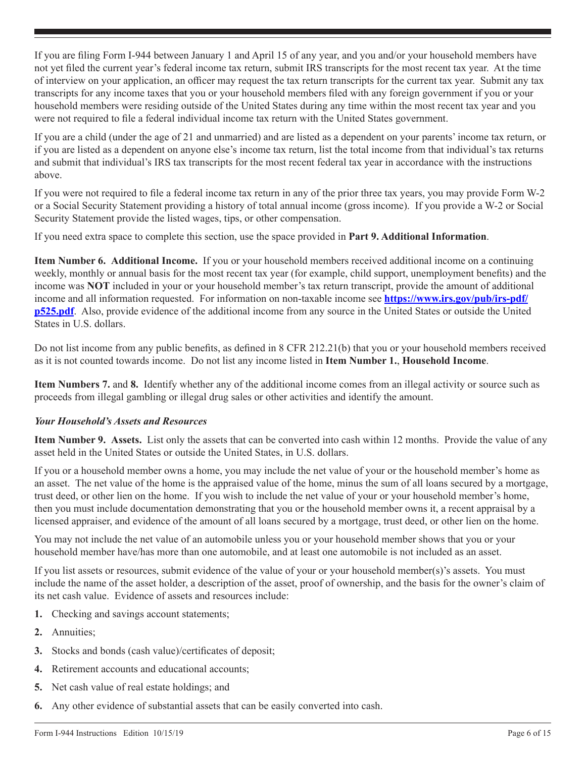If you are filing Form I-944 between January 1 and April 15 of any year, and you and/or your household members have not yet filed the current year's federal income tax return, submit IRS transcripts for the most recent tax year. At the time of interview on your application, an officer may request the tax return transcripts for the current tax year. Submit any tax transcripts for any income taxes that you or your household members filed with any foreign government if you or your household members were residing outside of the United States during any time within the most recent tax year and you were not required to file a federal individual income tax return with the United States government.

If you are a child (under the age of 21 and unmarried) and are listed as a dependent on your parents' income tax return, or if you are listed as a dependent on anyone else's income tax return, list the total income from that individual's tax returns and submit that individual's IRS tax transcripts for the most recent federal tax year in accordance with the instructions above.

If you were not required to file a federal income tax return in any of the prior three tax years, you may provide Form W-2 or a Social Security Statement providing a history of total annual income (gross income). If you provide a W-2 or Social Security Statement provide the listed wages, tips, or other compensation.

If you need extra space to complete this section, use the space provided in **Part 9. Additional Information**.

**Item Number 6. Additional Income.** If you or your household members received additional income on a continuing weekly, monthly or annual basis for the most recent tax year (for example, child support, unemployment benefits) and the income was **NOT** included in your or your household member's tax return transcript, provide the amount of additional income and all information requested. For information on non-taxable income see **[https://www.irs.gov/pub/irs-pdf/](https://www.irs.gov/pub/irs-pdf/p525.pdf) [p525.pdf](https://www.irs.gov/pub/irs-pdf/p525.pdf)**. Also, provide evidence of the additional income from any source in the United States or outside the United States in U.S. dollars.

Do not list income from any public benefits, as defined in 8 CFR 212.21(b) that you or your household members received as it is not counted towards income. Do not list any income listed in **Item Number 1.**, **Household Income**.

**Item Numbers 7.** and **8.** Identify whether any of the additional income comes from an illegal activity or source such as proceeds from illegal gambling or illegal drug sales or other activities and identify the amount.

## *Your Household's Assets and Resources*

**Item Number 9. Assets.** List only the assets that can be converted into cash within 12 months. Provide the value of any asset held in the United States or outside the United States, in U.S. dollars.

If you or a household member owns a home, you may include the net value of your or the household member's home as an asset. The net value of the home is the appraised value of the home, minus the sum of all loans secured by a mortgage, trust deed, or other lien on the home. If you wish to include the net value of your or your household member's home, then you must include documentation demonstrating that you or the household member owns it, a recent appraisal by a licensed appraiser, and evidence of the amount of all loans secured by a mortgage, trust deed, or other lien on the home.

You may not include the net value of an automobile unless you or your household member shows that you or your household member have/has more than one automobile, and at least one automobile is not included as an asset.

If you list assets or resources, submit evidence of the value of your or your household member(s)'s assets. You must include the name of the asset holder, a description of the asset, proof of ownership, and the basis for the owner's claim of its net cash value. Evidence of assets and resources include:

- **1.** Checking and savings account statements;
- **2.** Annuities;
- **3.** Stocks and bonds (cash value)/certificates of deposit;
- **4.** Retirement accounts and educational accounts;
- **5.** Net cash value of real estate holdings; and
- **6.** Any other evidence of substantial assets that can be easily converted into cash.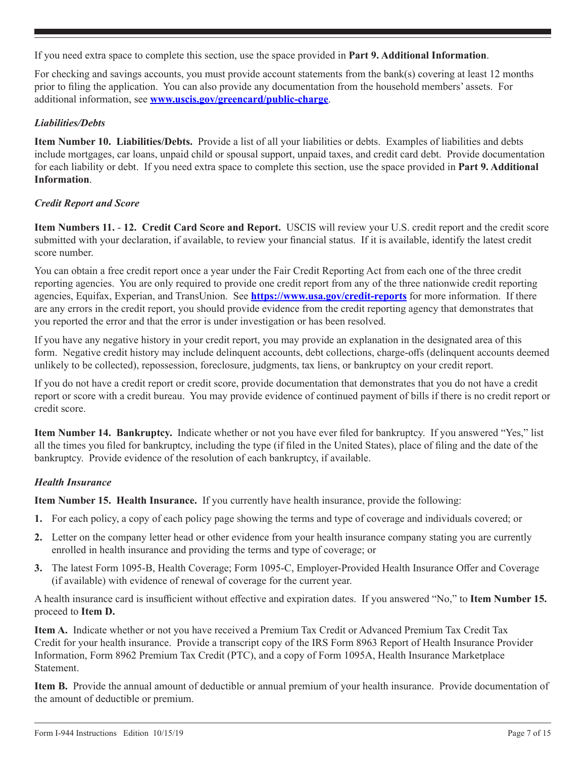If you need extra space to complete this section, use the space provided in **Part 9. Additional Information**.

For checking and savings accounts, you must provide account statements from the bank(s) covering at least 12 months prior to filing the application. You can also provide any documentation from the household members' assets. For additional information, see **www.uscis.gov/greencard/public-charge**.

## *Liabilities/Debts*

**Item Number 10. Liabilities/Debts.** Provide a list of all your liabilities or debts. Examples of liabilities and debts include mortgages, car loans, unpaid child or spousal support, unpaid taxes, and credit card debt. Provide documentation for each liability or debt. If you need extra space to complete this section, use the space provided in **Part 9. Additional Information**.

#### *Credit Report and Score*

**Item Numbers 11.** - **12. Credit Card Score and Report.** USCIS will review your U.S. credit report and the credit score submitted with your declaration, if available, to review your financial status. If it is available, identify the latest credit score number.

You can obtain a free credit report once a year under the Fair Credit Reporting Act from each one of the three credit reporting agencies. You are only required to provide one credit report from any of the three nationwide credit reporting agencies, Equifax, Experian, and TransUnion. See **https://www.usa.gov/credit-reports** for more information. If there are any errors in the credit report, you should provide evidence from the credit reporting agency that demonstrates that you reported the error and that the error is under investigation or has been resolved.

If you have any negative history in your credit report, you may provide an explanation in the designated area of this form. Negative credit history may include delinquent accounts, debt collections, charge-offs (delinquent accounts deemed unlikely to be collected), repossession, foreclosure, judgments, tax liens, or bankruptcy on your credit report.

If you do not have a credit report or credit score, provide documentation that demonstrates that you do not have a credit report or score with a credit bureau. You may provide evidence of continued payment of bills if there is no credit report or credit score.

**Item Number 14. Bankruptcy.** Indicate whether or not you have ever filed for bankruptcy. If you answered "Yes," list all the times you filed for bankruptcy, including the type (if filed in the United States), place of filing and the date of the bankruptcy. Provide evidence of the resolution of each bankruptcy, if available.

## *Health Insurance*

**Item Number 15. Health Insurance.** If you currently have health insurance, provide the following:

- **1.** For each policy, a copy of each policy page showing the terms and type of coverage and individuals covered; or
- **2.** Letter on the company letter head or other evidence from your health insurance company stating you are currently enrolled in health insurance and providing the terms and type of coverage; or
- **3.** The latest Form 1095-B, Health Coverage; Form 1095-C, Employer-Provided Health Insurance Offer and Coverage (if available) with evidence of renewal of coverage for the current year.

A health insurance card is insufficient without effective and expiration dates. If you answered "No," to **Item Number 15.** proceed to **Item D.**

**Item A.** Indicate whether or not you have received a Premium Tax Credit or Advanced Premium Tax Credit Tax Credit for your health insurance. Provide a transcript copy of the IRS Form 8963 Report of Health Insurance Provider Information, Form 8962 Premium Tax Credit (PTC), and a copy of Form 1095A, Health Insurance Marketplace Statement.

**Item B.** Provide the annual amount of deductible or annual premium of your health insurance. Provide documentation of the amount of deductible or premium.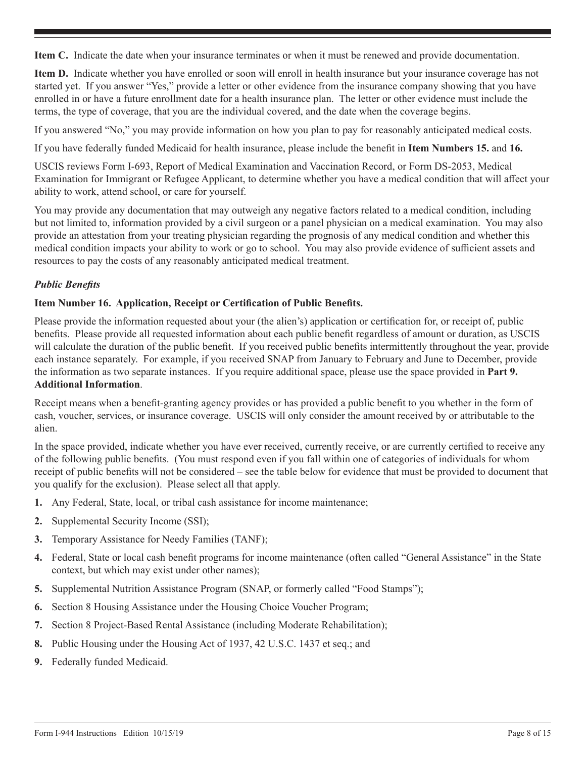**Item C.** Indicate the date when your insurance terminates or when it must be renewed and provide documentation.

**Item D.** Indicate whether you have enrolled or soon will enroll in health insurance but your insurance coverage has not started yet. If you answer "Yes," provide a letter or other evidence from the insurance company showing that you have enrolled in or have a future enrollment date for a health insurance plan. The letter or other evidence must include the terms, the type of coverage, that you are the individual covered, and the date when the coverage begins.

If you answered "No," you may provide information on how you plan to pay for reasonably anticipated medical costs.

If you have federally funded Medicaid for health insurance, please include the benefit in **Item Numbers 15.** and **16.**

USCIS reviews Form I-693, Report of Medical Examination and Vaccination Record, or Form DS-2053, Medical Examination for Immigrant or Refugee Applicant, to determine whether you have a medical condition that will affect your ability to work, attend school, or care for yourself.

You may provide any documentation that may outweigh any negative factors related to a medical condition, including but not limited to, information provided by a civil surgeon or a panel physician on a medical examination. You may also provide an attestation from your treating physician regarding the prognosis of any medical condition and whether this medical condition impacts your ability to work or go to school. You may also provide evidence of sufficient assets and resources to pay the costs of any reasonably anticipated medical treatment.

## *Public Benefits*

#### **Item Number 16. Application, Receipt or Certification of Public Benefits.**

Please provide the information requested about your (the alien's) application or certification for, or receipt of, public benefits. Please provide all requested information about each public benefit regardless of amount or duration, as USCIS will calculate the duration of the public benefit. If you received public benefits intermittently throughout the year, provide each instance separately. For example, if you received SNAP from January to February and June to December, provide the information as two separate instances. If you require additional space, please use the space provided in **Part 9. Additional Information**.

Receipt means when a benefit-granting agency provides or has provided a public benefit to you whether in the form of cash, voucher, services, or insurance coverage. USCIS will only consider the amount received by or attributable to the alien.

In the space provided, indicate whether you have ever received, currently receive, or are currently certified to receive any of the following public benefits. (You must respond even if you fall within one of categories of individuals for whom receipt of public benefits will not be considered – see the table below for evidence that must be provided to document that you qualify for the exclusion). Please select all that apply.

- **1.** Any Federal, State, local, or tribal cash assistance for income maintenance;
- **2.** Supplemental Security Income (SSI);
- **3.** Temporary Assistance for Needy Families (TANF);
- **4.** Federal, State or local cash benefit programs for income maintenance (often called "General Assistance" in the State context, but which may exist under other names);
- **5.** Supplemental Nutrition Assistance Program (SNAP, or formerly called "Food Stamps");
- **6.** Section 8 Housing Assistance under the Housing Choice Voucher Program;
- **7.** Section 8 Project-Based Rental Assistance (including Moderate Rehabilitation);
- **8.** Public Housing under the Housing Act of 1937, 42 U.S.C. 1437 et seq.; and
- **9.** Federally funded Medicaid.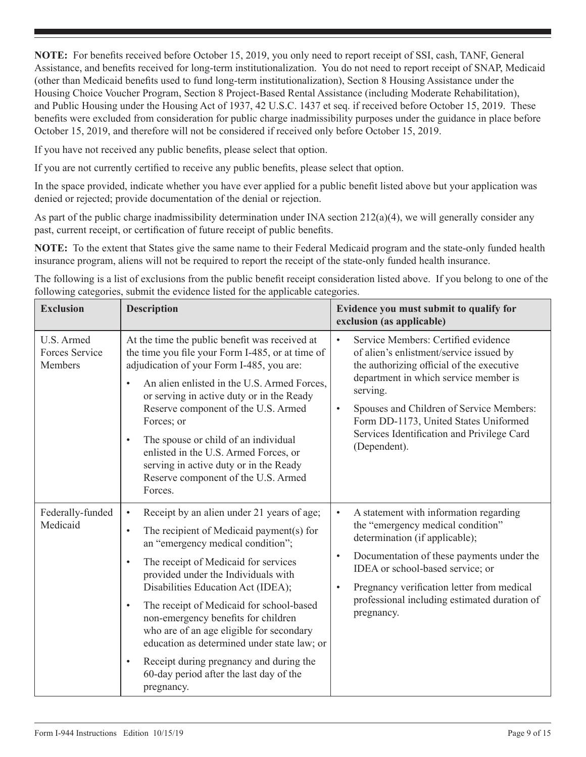**NOTE:** For benefits received before October 15, 2019, you only need to report receipt of SSI, cash, TANF, General Assistance, and benefits received for long-term institutionalization. You do not need to report receipt of SNAP, Medicaid (other than Medicaid benefits used to fund long-term institutionalization), Section 8 Housing Assistance under the Housing Choice Voucher Program, Section 8 Project-Based Rental Assistance (including Moderate Rehabilitation), and Public Housing under the Housing Act of 1937, 42 U.S.C. 1437 et seq. if received before October 15, 2019. These benefits were excluded from consideration for public charge inadmissibility purposes under the guidance in place before October 15, 2019, and therefore will not be considered if received only before October 15, 2019.

If you have not received any public benefits, please select that option.

If you are not currently certified to receive any public benefits, please select that option.

In the space provided, indicate whether you have ever applied for a public benefit listed above but your application was denied or rejected; provide documentation of the denial or rejection.

As part of the public charge inadmissibility determination under INA section  $212(a)(4)$ , we will generally consider any past, current receipt, or certification of future receipt of public benefits.

**NOTE:** To the extent that States give the same name to their Federal Medicaid program and the state-only funded health insurance program, aliens will not be required to report the receipt of the state-only funded health insurance.

The following is a list of exclusions from the public benefit receipt consideration listed above. If you belong to one of the following categories, submit the evidence listed for the applicable categories.

| <b>Exclusion</b>                        | <b>Description</b>                                                                                                                                                                                                                                                                                                                                                                                                                                                                                                                                                                                  | Evidence you must submit to qualify for<br>exclusion (as applicable)                                                                                                                                                                                                                                                                                          |
|-----------------------------------------|-----------------------------------------------------------------------------------------------------------------------------------------------------------------------------------------------------------------------------------------------------------------------------------------------------------------------------------------------------------------------------------------------------------------------------------------------------------------------------------------------------------------------------------------------------------------------------------------------------|---------------------------------------------------------------------------------------------------------------------------------------------------------------------------------------------------------------------------------------------------------------------------------------------------------------------------------------------------------------|
| U.S. Armed<br>Forces Service<br>Members | At the time the public benefit was received at<br>the time you file your Form I-485, or at time of<br>adjudication of your Form I-485, you are:<br>An alien enlisted in the U.S. Armed Forces,<br>$\bullet$<br>or serving in active duty or in the Ready<br>Reserve component of the U.S. Armed<br>Forces; or<br>The spouse or child of an individual<br>$\bullet$<br>enlisted in the U.S. Armed Forces, or<br>serving in active duty or in the Ready<br>Reserve component of the U.S. Armed<br>Forces.                                                                                             | Service Members: Certified evidence<br>$\bullet$<br>of alien's enlistment/service issued by<br>the authorizing official of the executive<br>department in which service member is<br>serving.<br>Spouses and Children of Service Members:<br>$\bullet$<br>Form DD-1173, United States Uniformed<br>Services Identification and Privilege Card<br>(Dependent). |
| Federally-funded<br>Medicaid            | Receipt by an alien under 21 years of age;<br>$\bullet$<br>The recipient of Medicaid payment(s) for<br>$\bullet$<br>an "emergency medical condition";<br>The receipt of Medicaid for services<br>$\bullet$<br>provided under the Individuals with<br>Disabilities Education Act (IDEA);<br>The receipt of Medicaid for school-based<br>$\bullet$<br>non-emergency benefits for children<br>who are of an age eligible for secondary<br>education as determined under state law; or<br>Receipt during pregnancy and during the<br>$\bullet$<br>60-day period after the last day of the<br>pregnancy. | A statement with information regarding<br>$\bullet$<br>the "emergency medical condition"<br>determination (if applicable);<br>Documentation of these payments under the<br>$\bullet$<br>IDEA or school-based service; or<br>Pregnancy verification letter from medical<br>$\bullet$<br>professional including estimated duration of<br>pregnancy.             |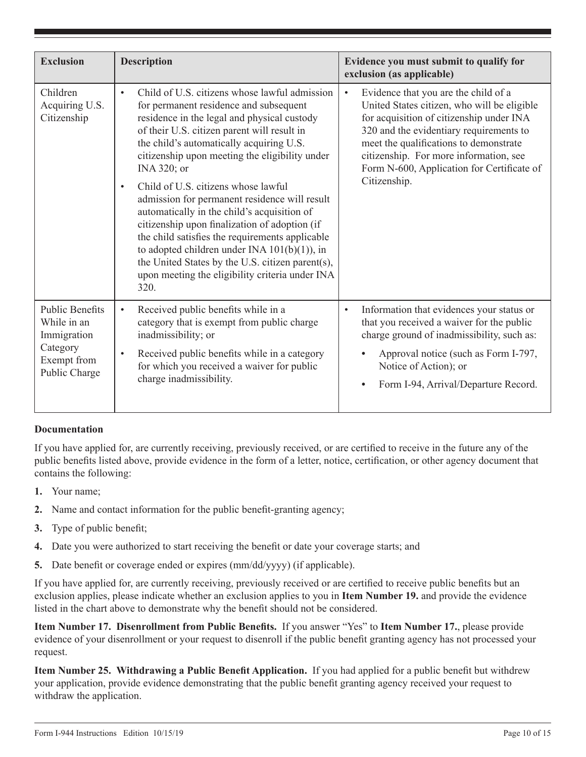| <b>Exclusion</b>                                                                                 | <b>Description</b>                                                                                                                                                                                                                                                                                                                                                                                                                                                                                                                                                                                                                                                                                                           | Evidence you must submit to qualify for<br>exclusion (as applicable)                                                                                                                                                                                                                                                                      |
|--------------------------------------------------------------------------------------------------|------------------------------------------------------------------------------------------------------------------------------------------------------------------------------------------------------------------------------------------------------------------------------------------------------------------------------------------------------------------------------------------------------------------------------------------------------------------------------------------------------------------------------------------------------------------------------------------------------------------------------------------------------------------------------------------------------------------------------|-------------------------------------------------------------------------------------------------------------------------------------------------------------------------------------------------------------------------------------------------------------------------------------------------------------------------------------------|
| Children<br>Acquiring U.S.<br>Citizenship                                                        | Child of U.S. citizens whose lawful admission<br>$\bullet$<br>for permanent residence and subsequent<br>residence in the legal and physical custody<br>of their U.S. citizen parent will result in<br>the child's automatically acquiring U.S.<br>citizenship upon meeting the eligibility under<br>INA 320; or<br>Child of U.S. citizens whose lawful<br>admission for permanent residence will result<br>automatically in the child's acquisition of<br>citizenship upon finalization of adoption (if<br>the child satisfies the requirements applicable<br>to adopted children under INA $101(b)(1)$ ), in<br>the United States by the U.S. citizen parent(s),<br>upon meeting the eligibility criteria under INA<br>320. | Evidence that you are the child of a<br>$\bullet$<br>United States citizen, who will be eligible<br>for acquisition of citizenship under INA<br>320 and the evidentiary requirements to<br>meet the qualifications to demonstrate<br>citizenship. For more information, see<br>Form N-600, Application for Certificate of<br>Citizenship. |
| <b>Public Benefits</b><br>While in an<br>Immigration<br>Category<br>Exempt from<br>Public Charge | Received public benefits while in a<br>$\bullet$<br>category that is exempt from public charge<br>inadmissibility; or<br>Received public benefits while in a category<br>$\bullet$<br>for which you received a waiver for public<br>charge inadmissibility.                                                                                                                                                                                                                                                                                                                                                                                                                                                                  | Information that evidences your status or<br>$\bullet$<br>that you received a waiver for the public<br>charge ground of inadmissibility, such as:<br>Approval notice (such as Form I-797,<br>$\bullet$<br>Notice of Action); or<br>Form I-94, Arrival/Departure Record.<br>$\bullet$                                                      |

## **Documentation**

If you have applied for, are currently receiving, previously received, or are certified to receive in the future any of the public benefits listed above, provide evidence in the form of a letter, notice, certification, or other agency document that contains the following:

- **1.** Your name;
- **2.** Name and contact information for the public benefit-granting agency;
- **3.** Type of public benefit;
- **4.** Date you were authorized to start receiving the benefit or date your coverage starts; and
- **5.** Date benefit or coverage ended or expires (mm/dd/yyyy) (if applicable).

If you have applied for, are currently receiving, previously received or are certified to receive public benefits but an exclusion applies, please indicate whether an exclusion applies to you in **Item Number 19.** and provide the evidence listed in the chart above to demonstrate why the benefit should not be considered.

**Item Number 17. Disenrollment from Public Benefits.** If you answer "Yes" to **Item Number 17.**, please provide evidence of your disenrollment or your request to disenroll if the public benefit granting agency has not processed your request.

**Item Number 25. Withdrawing a Public Benefit Application.** If you had applied for a public benefit but withdrew your application, provide evidence demonstrating that the public benefit granting agency received your request to withdraw the application.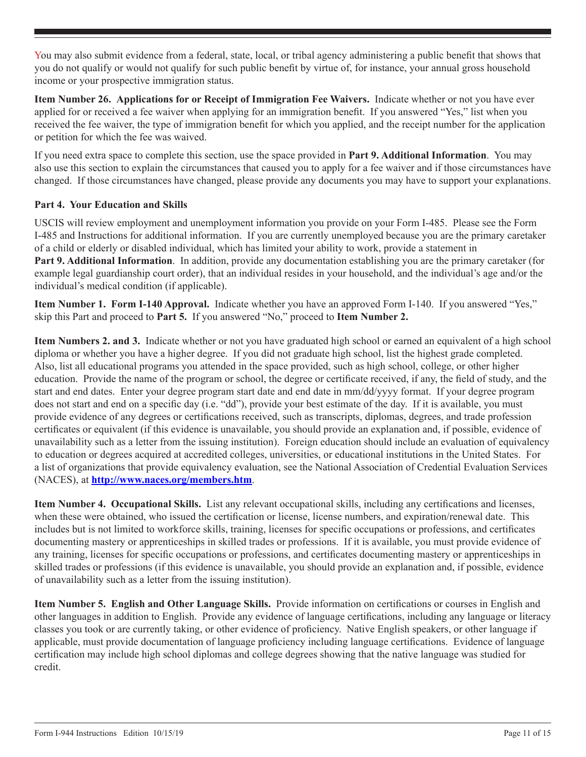You may also submit evidence from a federal, state, local, or tribal agency administering a public benefit that shows that you do not qualify or would not qualify for such public benefit by virtue of, for instance, your annual gross household income or your prospective immigration status.

**Item Number 26. Applications for or Receipt of Immigration Fee Waivers.** Indicate whether or not you have ever applied for or received a fee waiver when applying for an immigration benefit. If you answered "Yes," list when you received the fee waiver, the type of immigration benefit for which you applied, and the receipt number for the application or petition for which the fee was waived.

If you need extra space to complete this section, use the space provided in **Part 9. Additional Information**. You may also use this section to explain the circumstances that caused you to apply for a fee waiver and if those circumstances have changed. If those circumstances have changed, please provide any documents you may have to support your explanations.

## **Part 4. Your Education and Skills**

USCIS will review employment and unemployment information you provide on your Form I-485. Please see the Form I-485 and Instructions for additional information. If you are currently unemployed because you are the primary caretaker of a child or elderly or disabled individual, which has limited your ability to work, provide a statement in **Part 9. Additional Information**. In addition, provide any documentation establishing you are the primary caretaker (for example legal guardianship court order), that an individual resides in your household, and the individual's age and/or the individual's medical condition (if applicable).

**Item Number 1. Form I-140 Approval.** Indicate whether you have an approved Form I-140. If you answered "Yes," skip this Part and proceed to **Part 5.** If you answered "No," proceed to **Item Number 2.**

**Item Numbers 2. and 3.** Indicate whether or not you have graduated high school or earned an equivalent of a high school diploma or whether you have a higher degree. If you did not graduate high school, list the highest grade completed. Also, list all educational programs you attended in the space provided, such as high school, college, or other higher education. Provide the name of the program or school, the degree or certificate received, if any, the field of study, and the start and end dates. Enter your degree program start date and end date in mm/dd/yyyy format. If your degree program does not start and end on a specific day (i.e. "dd"), provide your best estimate of the day. If it is available, you must provide evidence of any degrees or certifications received, such as transcripts, diplomas, degrees, and trade profession certificates or equivalent (if this evidence is unavailable, you should provide an explanation and, if possible, evidence of unavailability such as a letter from the issuing institution). Foreign education should include an evaluation of equivalency to education or degrees acquired at accredited colleges, universities, or educational institutions in the United States. For a list of organizations that provide equivalency evaluation, see the National Association of Credential Evaluation Services (NACES), at **http://www.naces.org/members.htm**.

**Item Number 4. Occupational Skills.** List any relevant occupational skills, including any certifications and licenses, when these were obtained, who issued the certification or license, license numbers, and expiration/renewal date. This includes but is not limited to workforce skills, training, licenses for specific occupations or professions, and certificates documenting mastery or apprenticeships in skilled trades or professions. If it is available, you must provide evidence of any training, licenses for specific occupations or professions, and certificates documenting mastery or apprenticeships in skilled trades or professions (if this evidence is unavailable, you should provide an explanation and, if possible, evidence of unavailability such as a letter from the issuing institution).

**Item Number 5. English and Other Language Skills.** Provide information on certifications or courses in English and other languages in addition to English. Provide any evidence of language certifications, including any language or literacy classes you took or are currently taking, or other evidence of proficiency. Native English speakers, or other language if applicable, must provide documentation of language proficiency including language certifications. Evidence of language certification may include high school diplomas and college degrees showing that the native language was studied for credit.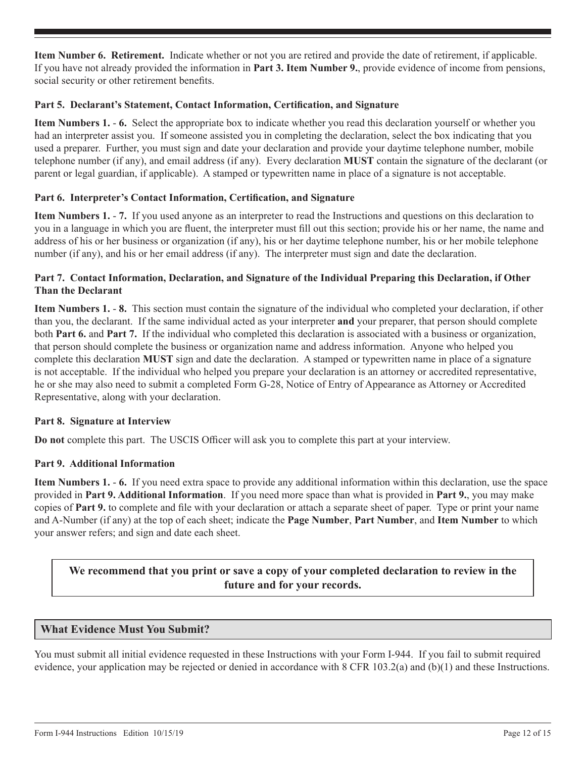**Item Number 6. Retirement.** Indicate whether or not you are retired and provide the date of retirement, if applicable. If you have not already provided the information in **Part 3. Item Number 9.**, provide evidence of income from pensions, social security or other retirement benefits.

#### **Part 5. Declarant's Statement, Contact Information, Certification, and Signature**

**Item Numbers 1.** - **6.** Select the appropriate box to indicate whether you read this declaration yourself or whether you had an interpreter assist you. If someone assisted you in completing the declaration, select the box indicating that you used a preparer. Further, you must sign and date your declaration and provide your daytime telephone number, mobile telephone number (if any), and email address (if any). Every declaration **MUST** contain the signature of the declarant (or parent or legal guardian, if applicable). A stamped or typewritten name in place of a signature is not acceptable.

## **Part 6. Interpreter's Contact Information, Certification, and Signature**

**Item Numbers 1.** - **7.** If you used anyone as an interpreter to read the Instructions and questions on this declaration to you in a language in which you are fluent, the interpreter must fill out this section; provide his or her name, the name and address of his or her business or organization (if any), his or her daytime telephone number, his or her mobile telephone number (if any), and his or her email address (if any). The interpreter must sign and date the declaration.

#### **Part 7. Contact Information, Declaration, and Signature of the Individual Preparing this Declaration, if Other Than the Declarant**

**Item Numbers 1.** - **8.** This section must contain the signature of the individual who completed your declaration, if other than you, the declarant. If the same individual acted as your interpreter **and** your preparer, that person should complete both **Part 6.** and **Part 7.** If the individual who completed this declaration is associated with a business or organization, that person should complete the business or organization name and address information. Anyone who helped you complete this declaration **MUST** sign and date the declaration. A stamped or typewritten name in place of a signature is not acceptable. If the individual who helped you prepare your declaration is an attorney or accredited representative, he or she may also need to submit a completed Form G-28, Notice of Entry of Appearance as Attorney or Accredited Representative, along with your declaration.

#### **Part 8. Signature at Interview**

**Do not** complete this part. The USCIS Officer will ask you to complete this part at your interview.

#### **Part 9. Additional Information**

**Item Numbers 1.** - **6.** If you need extra space to provide any additional information within this declaration, use the space provided in **Part 9. Additional Information**. If you need more space than what is provided in **Part 9.**, you may make copies of **Part 9.** to complete and file with your declaration or attach a separate sheet of paper. Type or print your name and A-Number (if any) at the top of each sheet; indicate the **Page Number**, **Part Number**, and **Item Number** to which your answer refers; and sign and date each sheet.

# **We recommend that you print or save a copy of your completed declaration to review in the future and for your records.**

## **What Evidence Must You Submit?**

You must submit all initial evidence requested in these Instructions with your Form I-944. If you fail to submit required evidence, your application may be rejected or denied in accordance with 8 CFR 103.2(a) and (b)(1) and these Instructions.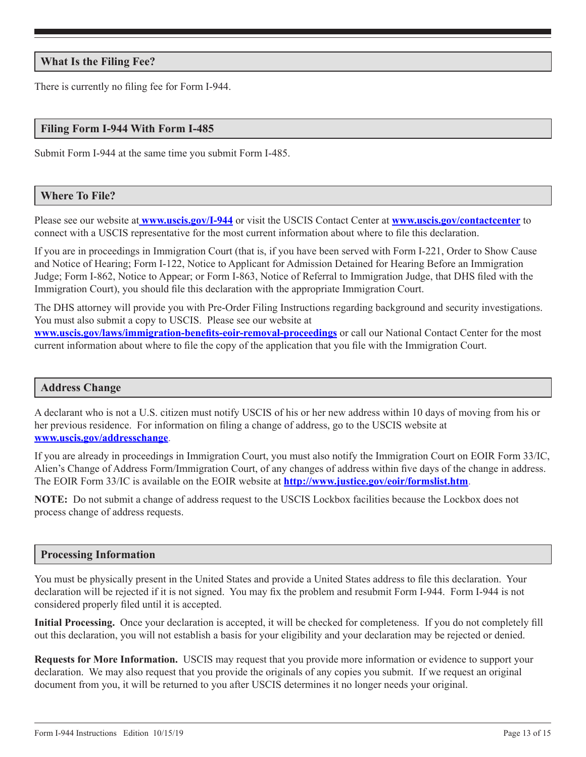## **What Is the Filing Fee?**

There is currently no filing fee for Form I-944.

#### **Filing Form I-944 With Form I-485**

Submit Form I-944 at the same time you submit Form I-485.

#### **Where To File?**

Please see our website at **www.uscis.gov/I-944** or visit the USCIS Contact Center at **www.uscis.gov/contactcenter** to connect with a USCIS representative for the most current information about where to file this declaration.

If you are in proceedings in Immigration Court (that is, if you have been served with Form I-221, Order to Show Cause and Notice of Hearing; Form I-122, Notice to Applicant for Admission Detained for Hearing Before an Immigration Judge; Form I-862, Notice to Appear; or Form I-863, Notice of Referral to Immigration Judge, that DHS filed with the Immigration Court), you should file this declaration with the appropriate Immigration Court.

The DHS attorney will provide you with Pre-Order Filing Instructions regarding background and security investigations. You must also submit a copy to USCIS. Please see our website at **www.uscis.gov/laws/immigration-benefits-eoir-removal-proceedings** or call our National Contact Center for the most current information about where to file the copy of the application that you file with the Immigration Court.

#### **Address Change**

A declarant who is not a U.S. citizen must notify USCIS of his or her new address within 10 days of moving from his or her previous residence. For information on filing a change of address, go to the USCIS website at **www.uscis.gov/addresschange**.

If you are already in proceedings in Immigration Court, you must also notify the Immigration Court on EOIR Form 33/IC, Alien's Change of Address Form/Immigration Court, of any changes of address within five days of the change in address. The EOIR Form 33/IC is available on the EOIR website at **http://www.justice.gov/eoir/formslist.htm**.

**NOTE:** Do not submit a change of address request to the USCIS Lockbox facilities because the Lockbox does not process change of address requests.

#### **Processing Information**

You must be physically present in the United States and provide a United States address to file this declaration. Your declaration will be rejected if it is not signed. You may fix the problem and resubmit Form I-944. Form I-944 is not considered properly filed until it is accepted.

**Initial Processing.** Once your declaration is accepted, it will be checked for completeness. If you do not completely fill out this declaration, you will not establish a basis for your eligibility and your declaration may be rejected or denied.

**Requests for More Information.** USCIS may request that you provide more information or evidence to support your declaration. We may also request that you provide the originals of any copies you submit. If we request an original document from you, it will be returned to you after USCIS determines it no longer needs your original.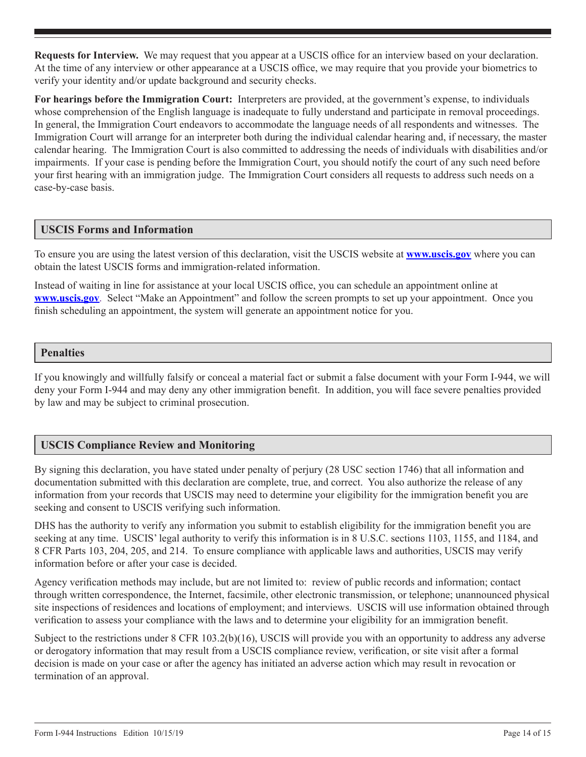**Requests for Interview.** We may request that you appear at a USCIS office for an interview based on your declaration. At the time of any interview or other appearance at a USCIS office, we may require that you provide your biometrics to verify your identity and/or update background and security checks.

**For hearings before the Immigration Court:** Interpreters are provided, at the government's expense, to individuals whose comprehension of the English language is inadequate to fully understand and participate in removal proceedings. In general, the Immigration Court endeavors to accommodate the language needs of all respondents and witnesses. The Immigration Court will arrange for an interpreter both during the individual calendar hearing and, if necessary, the master calendar hearing. The Immigration Court is also committed to addressing the needs of individuals with disabilities and/or impairments. If your case is pending before the Immigration Court, you should notify the court of any such need before your first hearing with an immigration judge. The Immigration Court considers all requests to address such needs on a case-by-case basis.

## **USCIS Forms and Information**

To ensure you are using the latest version of this declaration, visit the USCIS website at **www.uscis.gov** where you can obtain the latest USCIS forms and immigration-related information.

Instead of waiting in line for assistance at your local USCIS office, you can schedule an appointment online at **www.uscis.gov**. Select "Make an Appointment" and follow the screen prompts to set up your appointment. Once you finish scheduling an appointment, the system will generate an appointment notice for you.

## **Penalties**

If you knowingly and willfully falsify or conceal a material fact or submit a false document with your Form I-944, we will deny your Form I-944 and may deny any other immigration benefit. In addition, you will face severe penalties provided by law and may be subject to criminal prosecution.

# **USCIS Compliance Review and Monitoring**

By signing this declaration, you have stated under penalty of perjury (28 USC section 1746) that all information and documentation submitted with this declaration are complete, true, and correct. You also authorize the release of any information from your records that USCIS may need to determine your eligibility for the immigration benefit you are seeking and consent to USCIS verifying such information.

DHS has the authority to verify any information you submit to establish eligibility for the immigration benefit you are seeking at any time. USCIS' legal authority to verify this information is in 8 U.S.C. sections 1103, 1155, and 1184, and 8 CFR Parts 103, 204, 205, and 214. To ensure compliance with applicable laws and authorities, USCIS may verify information before or after your case is decided.

Agency verification methods may include, but are not limited to: review of public records and information; contact through written correspondence, the Internet, facsimile, other electronic transmission, or telephone; unannounced physical site inspections of residences and locations of employment; and interviews. USCIS will use information obtained through verification to assess your compliance with the laws and to determine your eligibility for an immigration benefit.

Subject to the restrictions under 8 CFR 103.2(b)(16), USCIS will provide you with an opportunity to address any adverse or derogatory information that may result from a USCIS compliance review, verification, or site visit after a formal decision is made on your case or after the agency has initiated an adverse action which may result in revocation or termination of an approval.